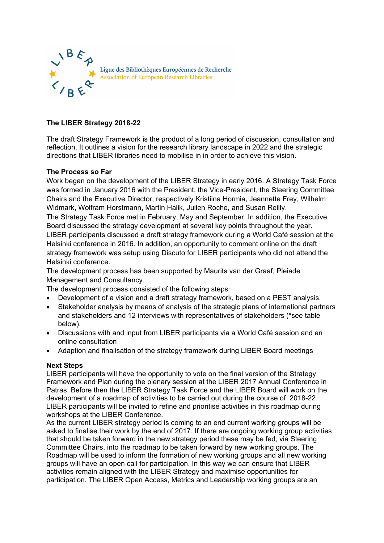

## **The LIBER Strategy 2018-22**

The draft Strategy Framework is the product of a long period of discussion, consultation and reflection. It outlines a vision for the research library landscape in 2022 and the strategic directions that LIBER libraries need to mobilise in in order to achieve this vision.

## **The Process so Far**

Work began on the development of the LIBER Strategy in early 2016. A Strategy Task Force was formed in January 2016 with the President, the Vice-President, the Steering Committee Chairs and the Executive Director, respectively Kristiina Hormia, Jeannette Frey, Wilhelm Widmark, Wolfram Horstmann, Martin Halik, Julien Roche, and Susan Reilly. The Strategy Task Force met in February, May and September. In addition, the Executive Board discussed the strategy development at several key points throughout the year. LIBER participants discussed a draft strategy framework during a World Café session at the Helsinki conference in 2016. In addition, an opportunity to comment online on the draft strategy framework was setup using Discuto for LIBER participants who did not attend the Helsinki conference.

The development process has been supported by Maurits van der Graaf, Pleiade Management and Consultancy.

The development process consisted of the following steps:

- Development of a vision and a draft strategy framework, based on a PEST analysis.
- Stakeholder analysis by means of analysis of the strategic plans of international partners and stakeholders and 12 interviews with representatives of stakeholders (\*see table below).
- Discussions with and input from LIBER participants via a World Café session and an online consultation
- Adaption and finalisation of the strategy framework during LIBER Board meetings

## **Next Steps**

LIBER participants will have the opportunity to vote on the final version of the Strategy Framework and Plan during the plenary session at the LIBER 2017 Annual Conference in Patras. Before then the LIBER Strategy Task Force and the LIBER Board will work on the development of a roadmap of activities to be carried out during the course of 2018-22. LIBER participants will be invited to refine and prioritise activities in this roadmap during workshops at the LIBER Conference.

As the current LIBER strategy period is coming to an end current working groups will be asked to finalise their work by the end of 2017. If there are ongoing working group activities that should be taken forward in the new strategy period these may be fed, via Steering Committee Chairs, into the roadmap to be taken forward by new working groups. The Roadmap will be used to inform the formation of new working groups and all new working groups will have an open call for participation. In this way we can ensure that LIBER activities remain aligned with the LIBER Strategy and maximise opportunities for participation. The LIBER Open Access, Metrics and Leadership working groups are an